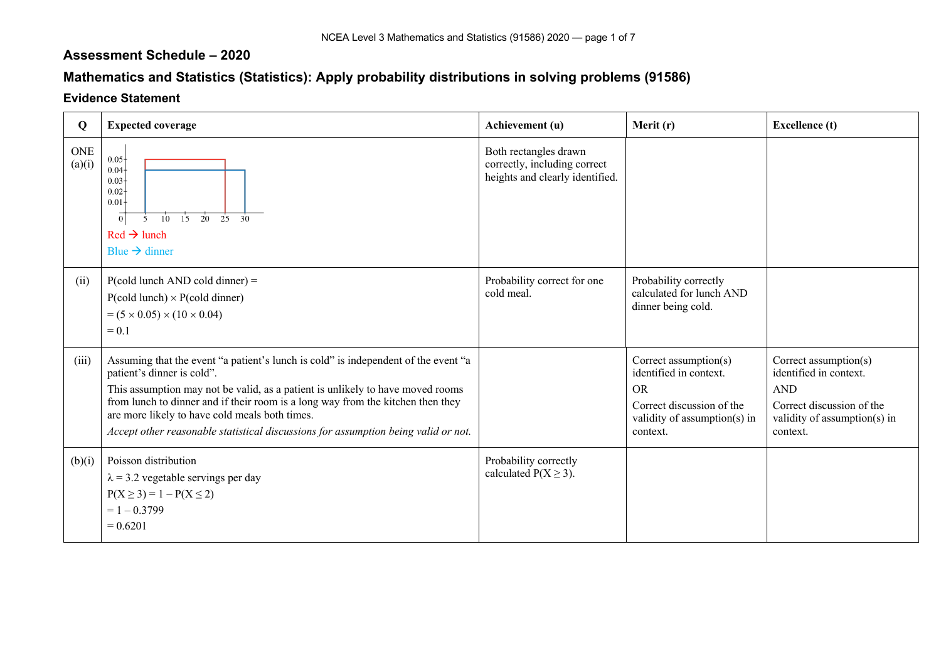## **Assessment Schedule – 2020**

## **Mathematics and Statistics (Statistics): Apply probability distributions in solving problems (91586)**

## **Evidence Statement**

| Q                    | <b>Expected coverage</b>                                                                                                                                                                                                                                                                                                                                                                                                      | Achievement (u)                                                                          | Merit (r)                                                                                                                             | <b>Excellence</b> (t)                                                                                                                      |
|----------------------|-------------------------------------------------------------------------------------------------------------------------------------------------------------------------------------------------------------------------------------------------------------------------------------------------------------------------------------------------------------------------------------------------------------------------------|------------------------------------------------------------------------------------------|---------------------------------------------------------------------------------------------------------------------------------------|--------------------------------------------------------------------------------------------------------------------------------------------|
| <b>ONE</b><br>(a)(i) | $0.05 +$<br>0.04<br>$0.03 -$<br>$0.02 -$<br>0.01<br>$\overline{0}$<br>15<br>$\overline{20}$<br>25<br>$10^{\circ}$<br>$\overline{30}$<br>5<br>$Red \rightarrow$ lunch<br>Blue $\rightarrow$ dinner                                                                                                                                                                                                                             | Both rectangles drawn<br>correctly, including correct<br>heights and clearly identified. |                                                                                                                                       |                                                                                                                                            |
| (ii)                 | $P(cold lunch AND cold dinner) =$<br>$P(cold lunch) \times P(cold dinner)$<br>$= (5 \times 0.05) \times (10 \times 0.04)$<br>$= 0.1$                                                                                                                                                                                                                                                                                          | Probability correct for one<br>cold meal.                                                | Probability correctly<br>calculated for lunch AND<br>dinner being cold.                                                               |                                                                                                                                            |
| (iii)                | Assuming that the event "a patient's lunch is cold" is independent of the event "a<br>patient's dinner is cold".<br>This assumption may not be valid, as a patient is unlikely to have moved rooms<br>from lunch to dinner and if their room is a long way from the kitchen then they<br>are more likely to have cold meals both times.<br>Accept other reasonable statistical discussions for assumption being valid or not. |                                                                                          | Correct assumption(s)<br>identified in context.<br><b>OR</b><br>Correct discussion of the<br>validity of assumption(s) in<br>context. | Correct assumption( $s$ )<br>identified in context.<br><b>AND</b><br>Correct discussion of the<br>validity of assumption(s) in<br>context. |
| (b)(i)               | Poisson distribution<br>$\lambda$ = 3.2 vegetable servings per day<br>$P(X \ge 3) = 1 - P(X \le 2)$<br>$= 1 - 0.3799$<br>$= 0.6201$                                                                                                                                                                                                                                                                                           | Probability correctly<br>calculated $P(X \ge 3)$ .                                       |                                                                                                                                       |                                                                                                                                            |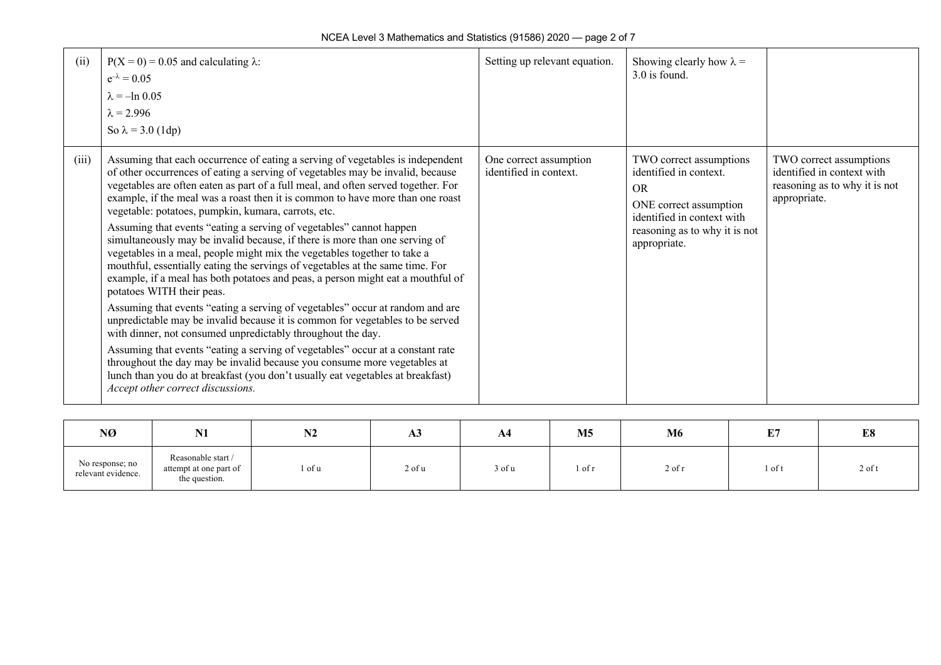| (ii)  | $P(X = 0) = 0.05$ and calculating $\lambda$ :<br>$e^{-\lambda} = 0.05$<br>$\lambda = -\ln 0.05$<br>$\lambda = 2.996$<br>So $\lambda = 3.0$ (1dp)                                                                                                                                                                                                                                                                                                                                                                                                                                                                                                                                                                                                                                                                                                                                                                                                                                                                                                                                                                                                                                                                                                                                                                                                        | Setting up relevant equation.                    | Showing clearly how $\lambda =$<br>3.0 is found.                                                                                                                        |                                                                                                        |
|-------|---------------------------------------------------------------------------------------------------------------------------------------------------------------------------------------------------------------------------------------------------------------------------------------------------------------------------------------------------------------------------------------------------------------------------------------------------------------------------------------------------------------------------------------------------------------------------------------------------------------------------------------------------------------------------------------------------------------------------------------------------------------------------------------------------------------------------------------------------------------------------------------------------------------------------------------------------------------------------------------------------------------------------------------------------------------------------------------------------------------------------------------------------------------------------------------------------------------------------------------------------------------------------------------------------------------------------------------------------------|--------------------------------------------------|-------------------------------------------------------------------------------------------------------------------------------------------------------------------------|--------------------------------------------------------------------------------------------------------|
| (iii) | Assuming that each occurrence of eating a serving of vegetables is independent<br>of other occurrences of eating a serving of vegetables may be invalid, because<br>vegetables are often eaten as part of a full meal, and often served together. For<br>example, if the meal was a roast then it is common to have more than one roast<br>vegetable: potatoes, pumpkin, kumara, carrots, etc.<br>Assuming that events "eating a serving of vegetables" cannot happen<br>simultaneously may be invalid because, if there is more than one serving of<br>vegetables in a meal, people might mix the vegetables together to take a<br>mouthful, essentially eating the servings of vegetables at the same time. For<br>example, if a meal has both potatoes and peas, a person might eat a mouthful of<br>potatoes WITH their peas.<br>Assuming that events "eating a serving of vegetables" occur at random and are<br>unpredictable may be invalid because it is common for vegetables to be served<br>with dinner, not consumed unpredictably throughout the day.<br>Assuming that events "eating a serving of vegetables" occur at a constant rate<br>throughout the day may be invalid because you consume more vegetables at<br>lunch than you do at breakfast (you don't usually eat vegetables at breakfast)<br>Accept other correct discussions. | One correct assumption<br>identified in context. | TWO correct assumptions<br>identified in context.<br><b>OR</b><br>ONE correct assumption<br>identified in context with<br>reasoning as to why it is not<br>appropriate. | TWO correct assumptions<br>identified in context with<br>reasoning as to why it is not<br>appropriate. |

| NØ                                    | <b>BT4</b><br>14 T                                            | <b>BIA</b><br>17Z | A3           | ${\bf A4}$ | M <sub>5</sub> | <b>M6</b> | 亚甲<br>ш. | E8       |
|---------------------------------------|---------------------------------------------------------------|-------------------|--------------|------------|----------------|-----------|----------|----------|
| No response; no<br>relevant evidence. | Reasonable start /<br>attempt at one part of<br>the question. | 1 of u            | $2$ of $\mu$ | 3 of u     | . of r         | 2 of 1    | l of t   | $2$ of t |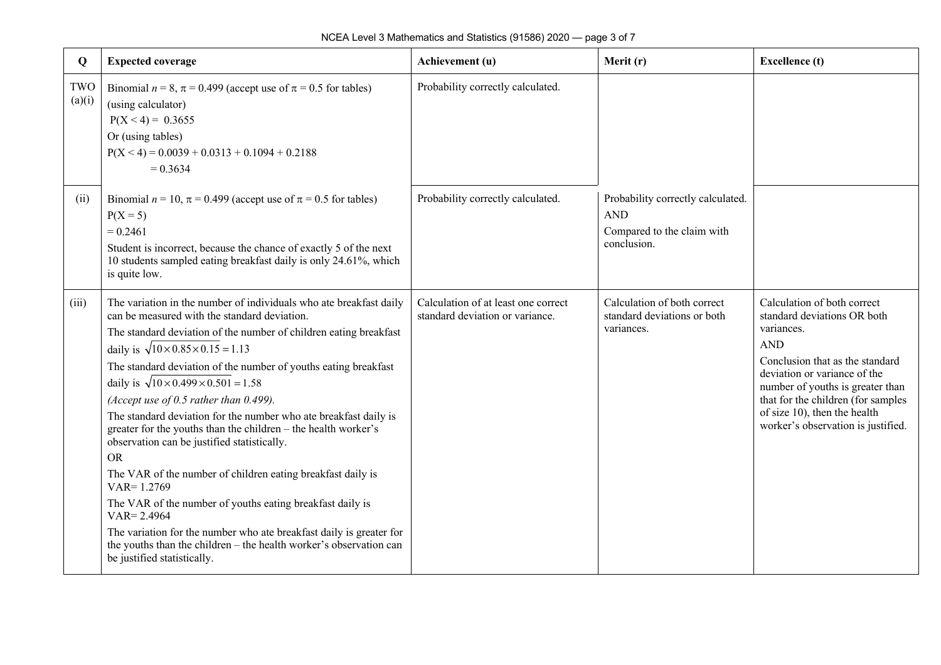| Q             | <b>Expected coverage</b>                                                                                                                                                                                                                                                                                                                                                                                                                                                                                                                                                                                                                                                                                                                                                                                                                                                                                                                                           | Achievement (u)                                                        | Merit (r)                                                                                    | <b>Excellence</b> (t)                                                                                                                                                                                                                                                                                     |
|---------------|--------------------------------------------------------------------------------------------------------------------------------------------------------------------------------------------------------------------------------------------------------------------------------------------------------------------------------------------------------------------------------------------------------------------------------------------------------------------------------------------------------------------------------------------------------------------------------------------------------------------------------------------------------------------------------------------------------------------------------------------------------------------------------------------------------------------------------------------------------------------------------------------------------------------------------------------------------------------|------------------------------------------------------------------------|----------------------------------------------------------------------------------------------|-----------------------------------------------------------------------------------------------------------------------------------------------------------------------------------------------------------------------------------------------------------------------------------------------------------|
| TWO<br>(a)(i) | Binomial $n = 8$ , $\pi = 0.499$ (accept use of $\pi = 0.5$ for tables)<br>(using calculator)<br>$P(X < 4) = 0.3655$<br>Or (using tables)<br>$P(X < 4) = 0.0039 + 0.0313 + 0.1094 + 0.2188$<br>$= 0.3634$                                                                                                                                                                                                                                                                                                                                                                                                                                                                                                                                                                                                                                                                                                                                                          | Probability correctly calculated.                                      |                                                                                              |                                                                                                                                                                                                                                                                                                           |
| (ii)          | Binomial $n = 10$ , $\pi = 0.499$ (accept use of $\pi = 0.5$ for tables)<br>$P(X = 5)$<br>$= 0.2461$<br>Student is incorrect, because the chance of exactly 5 of the next<br>10 students sampled eating breakfast daily is only 24.61%, which<br>is quite low.                                                                                                                                                                                                                                                                                                                                                                                                                                                                                                                                                                                                                                                                                                     | Probability correctly calculated.                                      | Probability correctly calculated.<br><b>AND</b><br>Compared to the claim with<br>conclusion. |                                                                                                                                                                                                                                                                                                           |
| (iii)         | The variation in the number of individuals who ate breakfast daily<br>can be measured with the standard deviation.<br>The standard deviation of the number of children eating breakfast<br>daily is $\sqrt{10 \times 0.85 \times 0.15} = 1.13$<br>The standard deviation of the number of youths eating breakfast<br>daily is $\sqrt{10 \times 0.499 \times 0.501} = 1.58$<br>(Accept use of 0.5 rather than 0.499).<br>The standard deviation for the number who ate breakfast daily is<br>greater for the youths than the children - the health worker's<br>observation can be justified statistically.<br><b>OR</b><br>The VAR of the number of children eating breakfast daily is<br>$VAR = 1.2769$<br>The VAR of the number of youths eating breakfast daily is<br>$VAR = 2.4964$<br>The variation for the number who ate breakfast daily is greater for<br>the youths than the children - the health worker's observation can<br>be justified statistically. | Calculation of at least one correct<br>standard deviation or variance. | Calculation of both correct<br>standard deviations or both<br>variances.                     | Calculation of both correct<br>standard deviations OR both<br>variances.<br><b>AND</b><br>Conclusion that as the standard<br>deviation or variance of the<br>number of youths is greater than<br>that for the children (for samples<br>of size 10), then the health<br>worker's observation is justified. |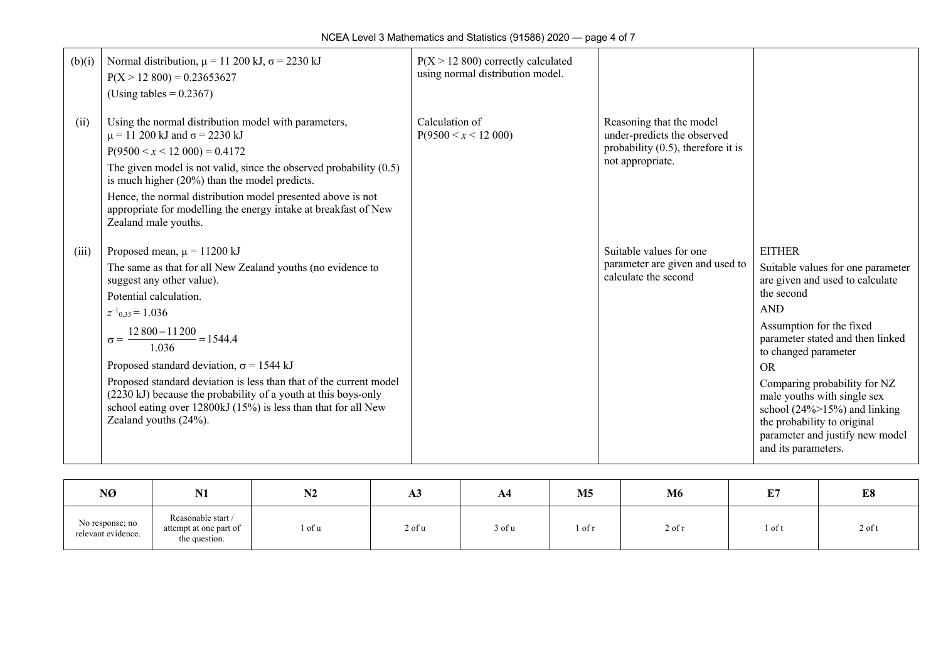| (b)(i) | Normal distribution, $\mu$ = 11 200 kJ, $\sigma$ = 2230 kJ<br>$P(X > 12,800) = 0.23653627$<br>(Using tables = $0.2367$ )                                                                                                                                                                                                                                                                                                                                                                                                               | $P(X > 12800)$ correctly calculated<br>using normal distribution model. |                                                                                                                      |                                                                                                                                                                                                                                                                                                                                                                                                                      |
|--------|----------------------------------------------------------------------------------------------------------------------------------------------------------------------------------------------------------------------------------------------------------------------------------------------------------------------------------------------------------------------------------------------------------------------------------------------------------------------------------------------------------------------------------------|-------------------------------------------------------------------------|----------------------------------------------------------------------------------------------------------------------|----------------------------------------------------------------------------------------------------------------------------------------------------------------------------------------------------------------------------------------------------------------------------------------------------------------------------------------------------------------------------------------------------------------------|
| (ii)   | Using the normal distribution model with parameters,<br>$\mu$ = 11 200 kJ and $\sigma$ = 2230 kJ<br>$P(9500 \le x \le 12000) = 0.4172$<br>The given model is not valid, since the observed probability $(0.5)$<br>is much higher $(20%)$ than the model predicts.<br>Hence, the normal distribution model presented above is not<br>appropriate for modelling the energy intake at breakfast of New<br>Zealand male youths.                                                                                                            | Calculation of<br>$P(9500 \le x \le 12000)$                             | Reasoning that the model<br>under-predicts the observed<br>probability $(0.5)$ , therefore it is<br>not appropriate. |                                                                                                                                                                                                                                                                                                                                                                                                                      |
| (iii)  | Proposed mean, $\mu$ = 11200 kJ<br>The same as that for all New Zealand youths (no evidence to<br>suggest any other value).<br>Potential calculation.<br>$z^{-1}$ <sub>0.35</sub> = 1.036<br>$\sigma = \frac{12\,800 - 11\,200}{1.036} = 1544.4$<br>Proposed standard deviation, $\sigma$ = 1544 kJ<br>Proposed standard deviation is less than that of the current model<br>(2230 kJ) because the probability of a youth at this boys-only<br>school eating over 12800kJ (15%) is less than that for all New<br>Zealand youths (24%). |                                                                         | Suitable values for one<br>parameter are given and used to<br>calculate the second                                   | <b>EITHER</b><br>Suitable values for one parameter<br>are given and used to calculate<br>the second<br><b>AND</b><br>Assumption for the fixed<br>parameter stated and then linked<br>to changed parameter<br><b>OR</b><br>Comparing probability for NZ<br>male youths with single sex<br>school $(24\% > 15\%)$ and linking<br>the probability to original<br>parameter and justify new model<br>and its parameters. |

| NØ                                    | <b>BT4</b><br>UZ.                                             | N2     | <b>AS</b> | A <sub>4</sub> | M <sub>5</sub> | M6         | IP.<br>щ. | E8       |
|---------------------------------------|---------------------------------------------------------------|--------|-----------|----------------|----------------|------------|-----------|----------|
| No response; no<br>relevant evidence. | Reasonable start /<br>attempt at one part of<br>the question. | l of u | 2 of u    | 3 of u         | l of r         | $2$ of $r$ | 1 of t    | $2$ of t |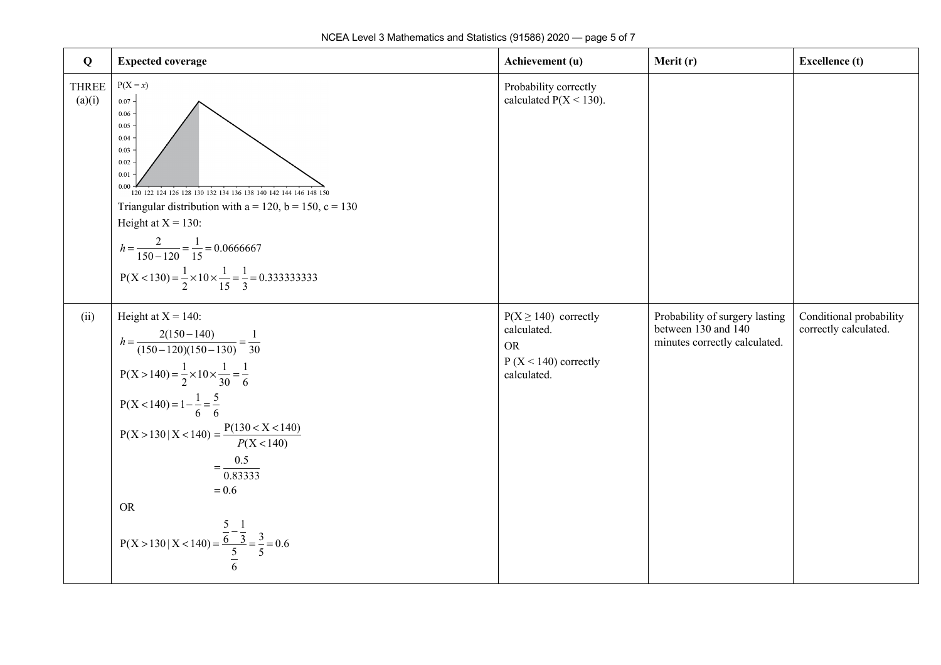| $\bf{Q}$               | <b>Expected coverage</b>                                                                                                                                                                                                                                                                                                                                                                                                            | Achievement (u)                                                                               | Merit (r)                                                                              | <b>Excellence</b> (t)                            |
|------------------------|-------------------------------------------------------------------------------------------------------------------------------------------------------------------------------------------------------------------------------------------------------------------------------------------------------------------------------------------------------------------------------------------------------------------------------------|-----------------------------------------------------------------------------------------------|----------------------------------------------------------------------------------------|--------------------------------------------------|
| <b>THREE</b><br>(a)(i) | $P(X = x)$<br>$0.07 -$<br>0.06<br>0.05<br>0.04<br>0.03<br>0.02<br>0.01<br>0.00<br>120 122 124 126 128 130 132 134 136 138 140 142 144 146 148 150<br>Triangular distribution with $a = 120$ , $b = 150$ , $c = 130$<br>Height at $X = 130$ :<br>$h = \frac{2}{150 - 120} = \frac{1}{15} = 0.0666667$<br>$P(X < 130) = \frac{1}{2} \times 10 \times \frac{1}{15} = \frac{1}{3} = 0.3333333333$                                       | Probability correctly<br>calculated $P(X < 130)$ .                                            |                                                                                        |                                                  |
| (ii)                   | Height at $X = 140$ :<br>$h = \frac{2(150 - 140)}{(150 - 120)(150 - 130)} = \frac{1}{30}$<br>$P(X > 140) = \frac{1}{2} \times 10 \times \frac{1}{30} = \frac{1}{6}$<br>$P(X < 140) = 1 - \frac{1}{6} = \frac{5}{6}$<br>$P(X > 130   X < 140) = {P(130 < X < 140) \over P(X < 140)}$<br>$=\frac{0.5}{0.83333}$<br>$= 0.6$<br><b>OR</b><br>P(X > 130   X < 140) = $\frac{\frac{5}{6} - \frac{1}{3}}{\frac{5}{6}} = \frac{3}{5} = 0.6$ | $P(X \ge 140)$ correctly<br>calculated.<br><b>OR</b><br>$P(X < 140)$ correctly<br>calculated. | Probability of surgery lasting<br>between 130 and 140<br>minutes correctly calculated. | Conditional probability<br>correctly calculated. |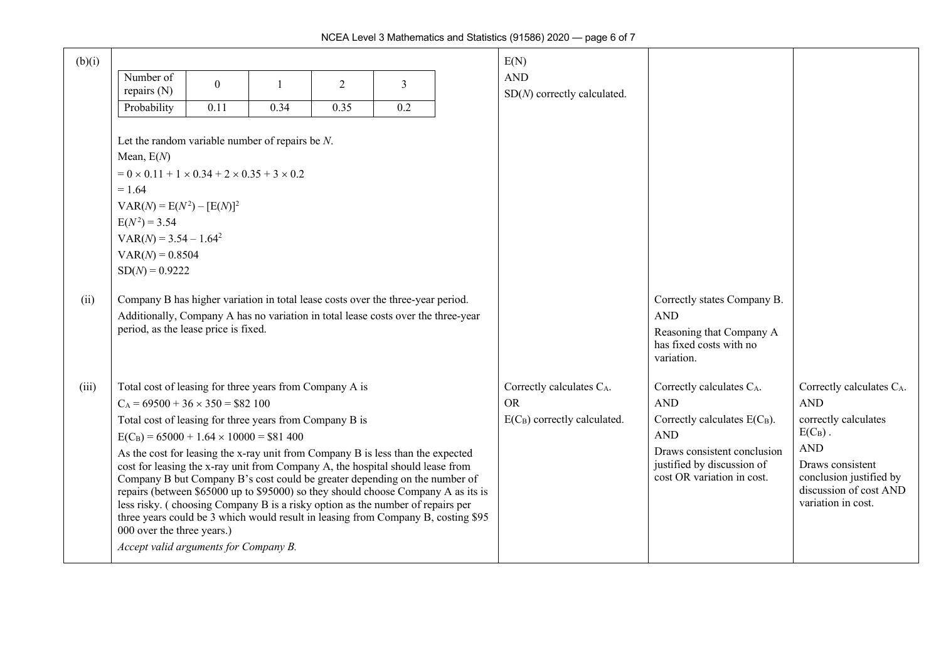| (b)(i) |                                                                                                                                                                     |                |      |      |     | E(N)                           |                                                           |                          |
|--------|---------------------------------------------------------------------------------------------------------------------------------------------------------------------|----------------|------|------|-----|--------------------------------|-----------------------------------------------------------|--------------------------|
|        | Number of                                                                                                                                                           | $\overline{0}$ |      | 2    | 3   | <b>AND</b>                     |                                                           |                          |
|        | repairs (N)                                                                                                                                                         |                |      |      |     | $SD(N)$ correctly calculated.  |                                                           |                          |
|        | Probability                                                                                                                                                         | 0.11           | 0.34 | 0.35 | 0.2 |                                |                                                           |                          |
|        | Let the random variable number of repairs be $N$ .                                                                                                                  |                |      |      |     |                                |                                                           |                          |
|        | Mean, $E(N)$                                                                                                                                                        |                |      |      |     |                                |                                                           |                          |
|        | $= 0 \times 0.11 + 1 \times 0.34 + 2 \times 0.35 + 3 \times 0.2$                                                                                                    |                |      |      |     |                                |                                                           |                          |
|        | $= 1.64$                                                                                                                                                            |                |      |      |     |                                |                                                           |                          |
|        | $VAR(N) = E(N^2) - [E(N)]^2$                                                                                                                                        |                |      |      |     |                                |                                                           |                          |
|        | $E(N^2) = 3.54$                                                                                                                                                     |                |      |      |     |                                |                                                           |                          |
|        | $VAR(N) = 3.54 - 1.642$                                                                                                                                             |                |      |      |     |                                |                                                           |                          |
|        | $VAR(N) = 0.8504$                                                                                                                                                   |                |      |      |     |                                |                                                           |                          |
|        | $SD(N) = 0.9222$                                                                                                                                                    |                |      |      |     |                                |                                                           |                          |
| (ii)   | Company B has higher variation in total lease costs over the three-year period.                                                                                     |                |      |      |     |                                | Correctly states Company B.                               |                          |
|        | Additionally, Company A has no variation in total lease costs over the three-year                                                                                   |                |      |      |     |                                | <b>AND</b>                                                |                          |
|        | period, as the lease price is fixed.                                                                                                                                |                |      |      |     |                                | Reasoning that Company A                                  |                          |
|        |                                                                                                                                                                     |                |      |      |     |                                | has fixed costs with no<br>variation.                     |                          |
|        |                                                                                                                                                                     |                |      |      |     |                                |                                                           |                          |
| (iii)  | Total cost of leasing for three years from Company A is                                                                                                             |                |      |      |     | Correctly calculates CA.       | Correctly calculates CA.                                  | Correctly calculates CA. |
|        | $C_A = 69500 + 36 \times 350 = $82100$                                                                                                                              |                |      |      |     | <b>OR</b>                      | <b>AND</b>                                                | <b>AND</b>               |
|        | Total cost of leasing for three years from Company B is                                                                                                             |                |      |      |     | $E(C_B)$ correctly calculated. | Correctly calculates $E(C_B)$ .                           | correctly calculates     |
|        | $E(C_B) = 65000 + 1.64 \times 10000 = $81400$                                                                                                                       |                |      |      |     |                                | <b>AND</b>                                                | $E(C_B)$ .<br><b>AND</b> |
|        | As the cost for leasing the x-ray unit from Company B is less than the expected<br>cost for leasing the x-ray unit from Company A, the hospital should lease from   |                |      |      |     |                                | Draws consistent conclusion<br>justified by discussion of | Draws consistent         |
|        | Company B but Company B's cost could be greater depending on the number of                                                                                          |                |      |      |     |                                | cost OR variation in cost.                                | conclusion justified by  |
|        | repairs (between \$65000 up to \$95000) so they should choose Company A as its is                                                                                   |                |      |      |     |                                |                                                           | discussion of cost AND   |
|        | less risky. (choosing Company B is a risky option as the number of repairs per<br>three years could be 3 which would result in leasing from Company B, costing \$95 |                |      |      |     |                                |                                                           | variation in cost.       |
|        | 000 over the three years.)                                                                                                                                          |                |      |      |     |                                |                                                           |                          |
|        | Accept valid arguments for Company B.                                                                                                                               |                |      |      |     |                                |                                                           |                          |
|        |                                                                                                                                                                     |                |      |      |     |                                |                                                           |                          |